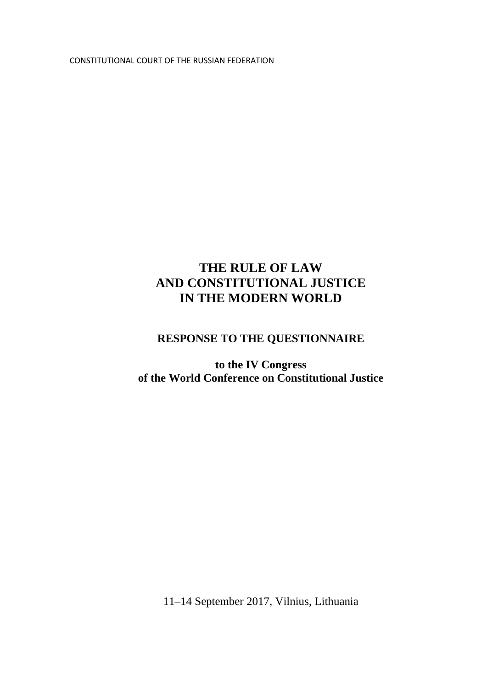CONSTITUTIONAL COURT OF THE RUSSIAN FEDERATION

#### **THE RULE OF LAW AND CONSTITUTIONAL JUSTICE IN THE MODERN WORLD**

#### **RESPONSE TO THE QUESTIONNAIRE**

**to the IV Congress of the World Conference on Constitutional Justice**

11–14 September 2017, Vilnius, Lithuania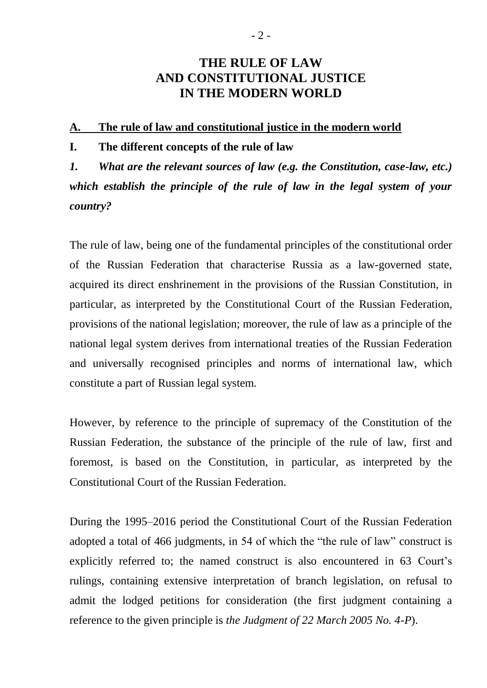#### **THE RULE OF LAW AND CONSTITUTIONAL JUSTICE IN THE MODERN WORLD**

#### **A. The rule of law and constitutional justice in the modern world**

#### **I. The different concepts of the rule of law**

*1. What are the relevant sources of law (e.g. the Constitution, case-law, etc.) which establish the principle of the rule of law in the legal system of your country?*

The rule of law, being one of the fundamental principles of the constitutional order of the Russian Federation that characterise Russia as a law-governed state, acquired its direct enshrinement in the provisions of the Russian Constitution, in particular, as interpreted by the Constitutional Court of the Russian Federation, provisions of the national legislation; moreover, the rule of law as a principle of the national legal system derives from international treaties of the Russian Federation and universally recognised principles and norms of international law, which constitute a part of Russian legal system.

However, by reference to the principle of supremacy of the Constitution of the Russian Federation, the substance of the principle of the rule of law, first and foremost, is based on the Constitution, in particular, as interpreted by the Constitutional Court of the Russian Federation.

During the 1995–2016 period the Constitutional Court of the Russian Federation adopted a total of 466 judgments, in 54 of which the "the rule of law" construct is explicitly referred to; the named construct is also encountered in 63 Court's rulings, containing extensive interpretation of branch legislation, on refusal to admit the lodged petitions for consideration (the first judgment containing a reference to the given principle is *the Judgment of 22 March 2005 No. 4-P*).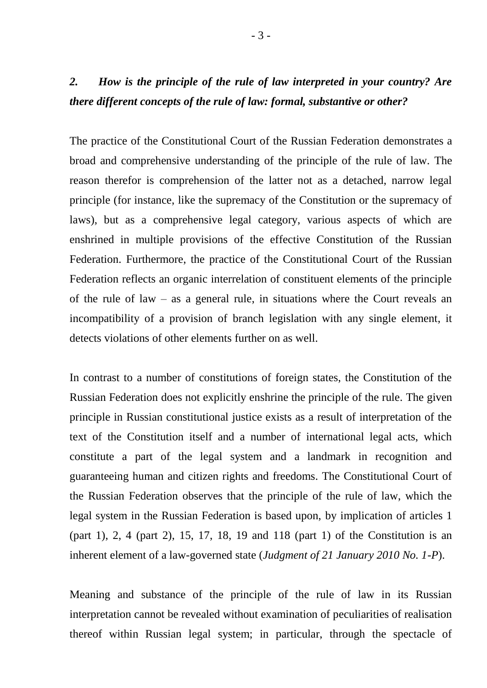## *2. How is the principle of the rule of law interpreted in your country? Are there different concepts of the rule of law: formal, substantive or other?*

The practice of the Constitutional Court of the Russian Federation demonstrates a broad and comprehensive understanding of the principle of the rule of law. The reason therefor is comprehension of the latter not as a detached, narrow legal principle (for instance, like the supremacy of the Constitution or the supremacy of laws), but as a comprehensive legal category, various aspects of which are enshrined in multiple provisions of the effective Constitution of the Russian Federation. Furthermore, the practice of the Constitutional Court of the Russian Federation reflects an organic interrelation of constituent elements of the principle of the rule of law – as a general rule, in situations where the Court reveals an incompatibility of a provision of branch legislation with any single element, it detects violations of other elements further on as well.

In contrast to a number of constitutions of foreign states, the Constitution of the Russian Federation does not explicitly enshrine the principle of the rule. The given principle in Russian constitutional justice exists as a result of interpretation of the text of the Constitution itself and a number of international legal acts, which constitute a part of the legal system and a landmark in recognition and guaranteeing human and citizen rights and freedoms. The Constitutional Court of the Russian Federation observes that the principle of the rule of law, which the legal system in the Russian Federation is based upon, by implication of articles 1 (part 1), 2, 4 (part 2), 15, 17, 18, 19 and 118 (part 1) of the Constitution is an inherent element of a law-governed state (*Judgment of 21 January 2010 No. 1-P*).

Meaning and substance of the principle of the rule of law in its Russian interpretation cannot be revealed without examination of peculiarities of realisation thereof within Russian legal system; in particular, through the spectacle of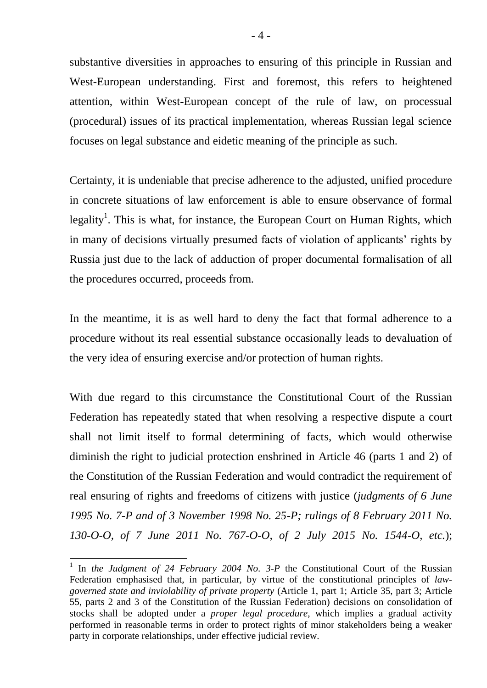substantive diversities in approaches to ensuring of this principle in Russian and West-European understanding. First and foremost, this refers to heightened attention, within West-European concept of the rule of law, on processual (procedural) issues of its practical implementation, whereas Russian legal science focuses on legal substance and eidetic meaning of the principle as such.

Certainty, it is undeniable that precise adherence to the adjusted, unified procedure in concrete situations of law enforcement is able to ensure observance of formal legality<sup>1</sup>. This is what, for instance, the European Court on Human Rights, which in many of decisions virtually presumed facts of violation of applicants' rights by Russia just due to the lack of adduction of proper documental formalisation of all the procedures occurred, proceeds from.

In the meantime, it is as well hard to deny the fact that formal adherence to a procedure without its real essential substance occasionally leads to devaluation of the very idea of ensuring exercise and/or protection of human rights.

With due regard to this circumstance the Constitutional Court of the Russian Federation has repeatedly stated that when resolving a respective dispute a court shall not limit itself to formal determining of facts, which would otherwise diminish the right to judicial protection enshrined in Article 46 (parts 1 and 2) of the Constitution of the Russian Federation and would contradict the requirement of real ensuring of rights and freedoms of citizens with justice (*judgments of 6 June 1995 No. 7-P and of 3 November 1998 No. 25-P; rulings of 8 February 2011 No. 130-O-O, of 7 June 2011 No. 767-O-O, of 2 July 2015 No. 1544-O, etc.*);

**.** 

<sup>&</sup>lt;sup>1</sup> In *the Judgment of 24 February 2004 No. 3-P* the Constitutional Court of the Russian Federation emphasised that, in particular, by virtue of the constitutional principles of *lawgoverned state and inviolability of private property* (Article 1, part 1; Article 35, part 3; Article 55, parts 2 and 3 of the Constitution of the Russian Federation) decisions on consolidation of stocks shall be adopted under a *proper legal procedure*, which implies a gradual activity performed in reasonable terms in order to protect rights of minor stakeholders being a weaker party in corporate relationships, under effective judicial review.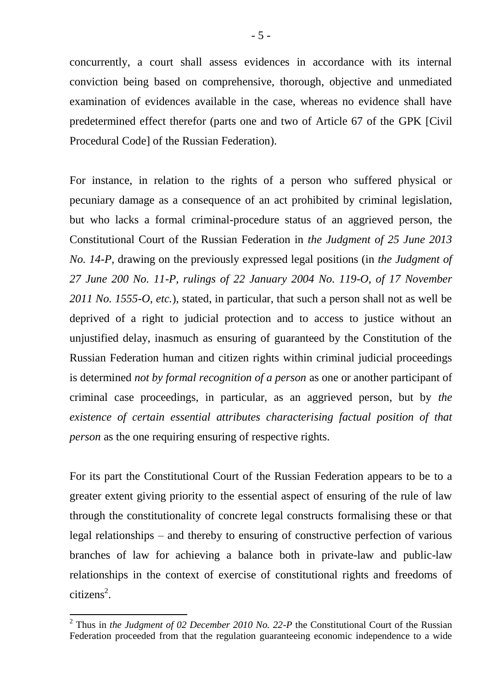concurrently, a court shall assess evidences in accordance with its internal conviction being based on comprehensive, thorough, objective and unmediated examination of evidences available in the case, whereas no evidence shall have predetermined effect therefor (parts one and two of Article 67 of the GPK [Civil Procedural Code] of the Russian Federation).

For instance, in relation to the rights of a person who suffered physical or pecuniary damage as a consequence of an act prohibited by criminal legislation, but who lacks a formal criminal-procedure status of an aggrieved person, the Constitutional Court of the Russian Federation in *the Judgment of 25 June 2013 No. 14-P*, drawing on the previously expressed legal positions (in *the Judgment of 27 June 200 No. 11-P, rulings of 22 January 2004 No. 119-O, of 17 November 2011 No. 1555-O, etc.*), stated, in particular, that such a person shall not as well be deprived of a right to judicial protection and to access to justice without an unjustified delay, inasmuch as ensuring of guaranteed by the Constitution of the Russian Federation human and citizen rights within criminal judicial proceedings is determined *not by formal recognition of a person* as one or another participant of criminal case proceedings, in particular, as an aggrieved person, but by *the existence of certain essential attributes characterising factual position of that person* as the one requiring ensuring of respective rights.

For its part the Constitutional Court of the Russian Federation appears to be to a greater extent giving priority to the essential aspect of ensuring of the rule of law through the constitutionality of concrete legal constructs formalising these or that legal relationships – and thereby to ensuring of constructive perfection of various branches of law for achieving a balance both in private-law and public-law relationships in the context of exercise of constitutional rights and freedoms of  $citizens<sup>2</sup>$ .

 $\overline{a}$ 

<sup>&</sup>lt;sup>2</sup> Thus in *the Judgment of 02 December 2010 No. 22-P* the Constitutional Court of the Russian Federation proceeded from that the regulation guaranteeing economic independence to a wide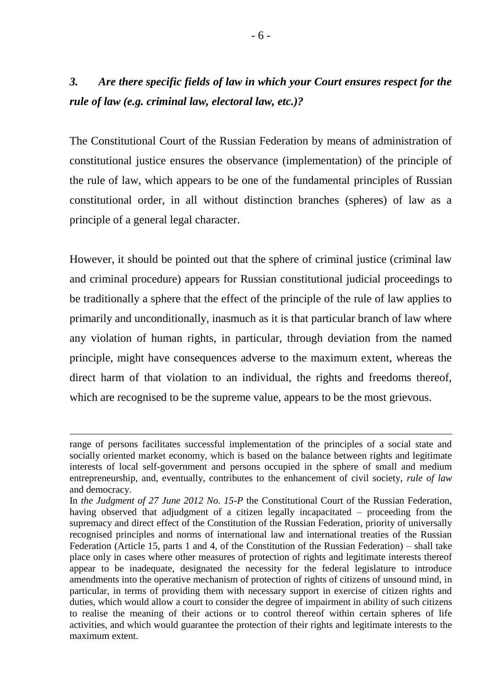## *3. Are there specific fields of law in which your Court ensures respect for the rule of law (e.g. criminal law, electoral law, etc.)?*

The Constitutional Court of the Russian Federation by means of administration of constitutional justice ensures the observance (implementation) of the principle of the rule of law, which appears to be one of the fundamental principles of Russian constitutional order, in all without distinction branches (spheres) of law as a principle of a general legal character.

However, it should be pointed out that the sphere of criminal justice (criminal law and criminal procedure) appears for Russian constitutional judicial proceedings to be traditionally a sphere that the effect of the principle of the rule of law applies to primarily and unconditionally, inasmuch as it is that particular branch of law where any violation of human rights, in particular, through deviation from the named principle, might have consequences adverse to the maximum extent, whereas the direct harm of that violation to an individual, the rights and freedoms thereof, which are recognised to be the supreme value, appears to be the most grievous.

**.** 

range of persons facilitates successful implementation of the principles of a social state and socially oriented market economy, which is based on the balance between rights and legitimate interests of local self-government and persons occupied in the sphere of small and medium entrepreneurship, and, eventually, contributes to the enhancement of civil society, *rule of law* and democracy.

In *the Judgment of 27 June 2012 No. 15-P* the Constitutional Court of the Russian Federation, having observed that adjudgment of a citizen legally incapacitated – proceeding from the supremacy and direct effect of the Constitution of the Russian Federation, priority of universally recognised principles and norms of international law and international treaties of the Russian Federation (Article 15, parts 1 and 4, of the Constitution of the Russian Federation) – shall take place only in cases where other measures of protection of rights and legitimate interests thereof appear to be inadequate, designated the necessity for the federal legislature to introduce amendments into the operative mechanism of protection of rights of citizens of unsound mind, in particular, in terms of providing them with necessary support in exercise of citizen rights and duties, which would allow a court to consider the degree of impairment in ability of such citizens to realise the meaning of their actions or to control thereof within certain spheres of life activities, and which would guarantee the protection of their rights and legitimate interests to the maximum extent.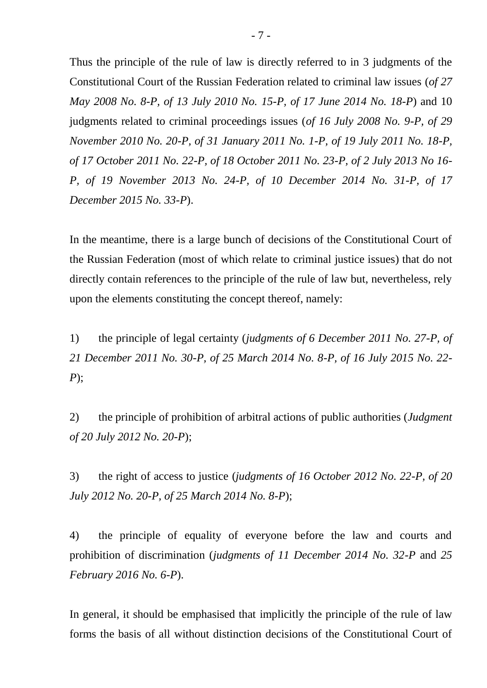Thus the principle of the rule of law is directly referred to in 3 judgments of the Constitutional Court of the Russian Federation related to criminal law issues (*of 27 May 2008 No. 8-P, of 13 July 2010 No. 15-P, of 17 June 2014 No. 18-P*) and 10 judgments related to criminal proceedings issues (*of 16 July 2008 No. 9-P, of 29 November 2010 No. 20-P, of 31 January 2011 No. 1-P, of 19 July 2011 No. 18-P, of 17 October 2011 No. 22-P, of 18 October 2011 No. 23-P, of 2 July 2013 No 16- P, of 19 November 2013 No. 24-P, of 10 December 2014 No. 31-P, of 17 December 2015 No. 33-P*).

In the meantime, there is a large bunch of decisions of the Constitutional Court of the Russian Federation (most of which relate to criminal justice issues) that do not directly contain references to the principle of the rule of law but, nevertheless, rely upon the elements constituting the concept thereof, namely:

1) the principle of legal certainty (*judgments of 6 December 2011 No. 27-P, of 21 December 2011 No. 30-P, of 25 March 2014 No. 8-P, of 16 July 2015 No. 22- P*);

2) the principle of prohibition of arbitral actions of public authorities (*Judgment of 20 July 2012 No. 20-P*);

3) the right of access to justice (*judgments of 16 October 2012 No. 22-P, of 20 July 2012 No. 20-P, of 25 March 2014 No. 8-P*);

4) the principle of equality of everyone before the law and courts and prohibition of discrimination (*judgments of 11 December 2014 No. 32-P* and *25 February 2016 No. 6-P*).

In general, it should be emphasised that implicitly the principle of the rule of law forms the basis of all without distinction decisions of the Constitutional Court of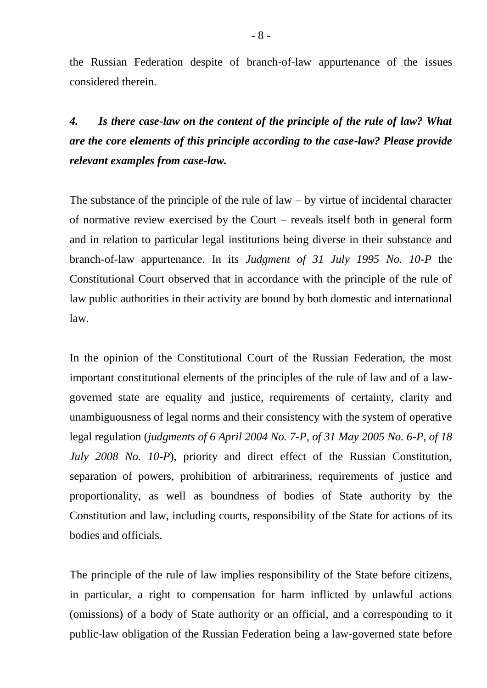the Russian Federation despite of branch-of-law appurtenance of the issues considered therein.

*4. Is there case-law on the content of the principle of the rule of law? What are the core elements of this principle according to the case-law? Please provide relevant examples from case-law.*

The substance of the principle of the rule of law  $-$  by virtue of incidental character of normative review exercised by the Court – reveals itself both in general form and in relation to particular legal institutions being diverse in their substance and branch-of-law appurtenance. In its *Judgment of 31 July 1995 No. 10-P* the Constitutional Court observed that in accordance with the principle of the rule of law public authorities in their activity are bound by both domestic and international law.

In the opinion of the Constitutional Court of the Russian Federation, the most important constitutional elements of the principles of the rule of law and of a lawgoverned state are equality and justice, requirements of certainty, clarity and unambiguousness of legal norms and their consistency with the system of operative legal regulation (*judgments of 6 April 2004 No. 7-P, of 31 May 2005 No. 6-P, of 18 July 2008 No. 10-P*), priority and direct effect of the Russian Constitution, separation of powers, prohibition of arbitrariness, requirements of justice and proportionality, as well as boundness of bodies of State authority by the Constitution and law, including courts, responsibility of the State for actions of its bodies and officials.

The principle of the rule of law implies responsibility of the State before citizens, in particular, a right to compensation for harm inflicted by unlawful actions (omissions) of a body of State authority or an official, and a corresponding to it public-law obligation of the Russian Federation being a law-governed state before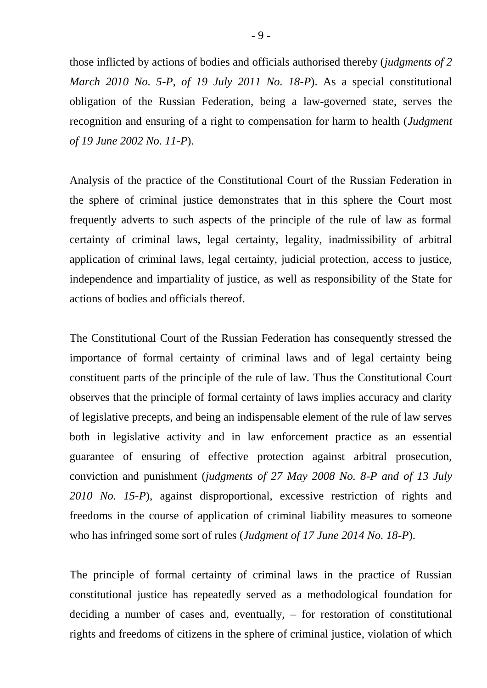those inflicted by actions of bodies and officials authorised thereby (*judgments of 2 March 2010 No. 5-P, of 19 July 2011 No. 18-P*). As a special constitutional obligation of the Russian Federation, being a law-governed state, serves the recognition and ensuring of a right to compensation for harm to health (*Judgment of 19 June 2002 No. 11-P*).

Analysis of the practice of the Constitutional Court of the Russian Federation in the sphere of criminal justice demonstrates that in this sphere the Court most frequently adverts to such aspects of the principle of the rule of law as formal certainty of criminal laws, legal certainty, legality, inadmissibility of arbitral application of criminal laws, legal certainty, judicial protection, access to justice, independence and impartiality of justice, as well as responsibility of the State for actions of bodies and officials thereof.

The Constitutional Court of the Russian Federation has consequently stressed the importance of formal certainty of criminal laws and of legal certainty being constituent parts of the principle of the rule of law. Thus the Constitutional Court observes that the principle of formal certainty of laws implies accuracy and clarity of legislative precepts, and being an indispensable element of the rule of law serves both in legislative activity and in law enforcement practice as an essential guarantee of ensuring of effective protection against arbitral prosecution, conviction and punishment (*judgments of 27 May 2008 No. 8-P and of 13 July 2010 No. 15-P*), against disproportional, excessive restriction of rights and freedoms in the course of application of criminal liability measures to someone who has infringed some sort of rules (*Judgment of 17 June 2014 No. 18-P*).

The principle of formal certainty of criminal laws in the practice of Russian constitutional justice has repeatedly served as a methodological foundation for deciding a number of cases and, eventually, – for restoration of constitutional rights and freedoms of citizens in the sphere of criminal justice, violation of which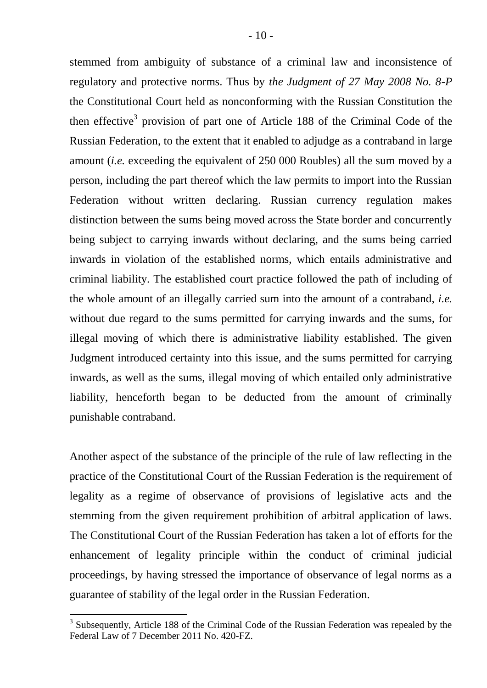stemmed from ambiguity of substance of a criminal law and inconsistence of regulatory and protective norms. Thus by *the Judgment of 27 May 2008 No. 8-P* the Constitutional Court held as nonconforming with the Russian Constitution the then effective<sup>3</sup> provision of part one of Article 188 of the Criminal Code of the Russian Federation, to the extent that it enabled to adjudge as a contraband in large amount (*i.e.* exceeding the equivalent of 250 000 Roubles) all the sum moved by a person, including the part thereof which the law permits to import into the Russian Federation without written declaring. Russian currency regulation makes distinction between the sums being moved across the State border and concurrently being subject to carrying inwards without declaring, and the sums being carried inwards in violation of the established norms, which entails administrative and criminal liability. The established court practice followed the path of including of the whole amount of an illegally carried sum into the amount of a contraband, *i.e.* without due regard to the sums permitted for carrying inwards and the sums, for illegal moving of which there is administrative liability established. The given Judgment introduced certainty into this issue, and the sums permitted for carrying inwards, as well as the sums, illegal moving of which entailed only administrative liability, henceforth began to be deducted from the amount of criminally punishable contraband.

Another aspect of the substance of the principle of the rule of law reflecting in the practice of the Constitutional Court of the Russian Federation is the requirement of legality as a regime of observance of provisions of legislative acts and the stemming from the given requirement prohibition of arbitral application of laws. The Constitutional Court of the Russian Federation has taken a lot of efforts for the enhancement of legality principle within the conduct of criminal judicial proceedings, by having stressed the importance of observance of legal norms as a guarantee of stability of the legal order in the Russian Federation.

 $\overline{a}$ 

 $3$  Subsequently, Article 188 of the Criminal Code of the Russian Federation was repealed by the Federal Law of 7 December 2011 No. 420-FZ.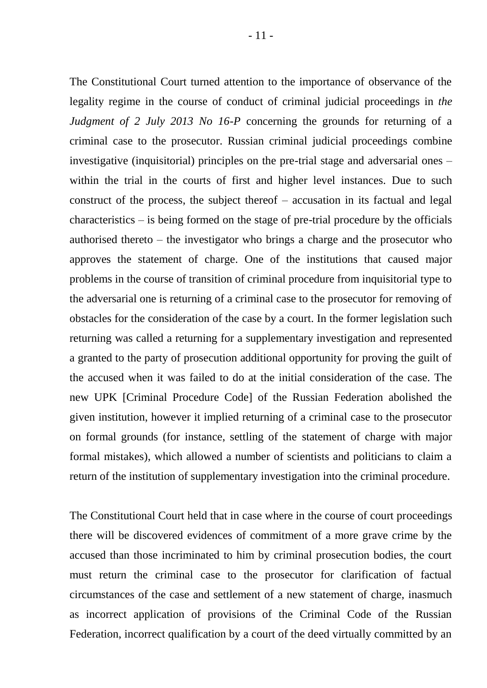The Constitutional Court turned attention to the importance of observance of the legality regime in the course of conduct of criminal judicial proceedings in *the Judgment of 2 July 2013 No 16-P* concerning the grounds for returning of a criminal case to the prosecutor. Russian criminal judicial proceedings combine investigative (inquisitorial) principles on the pre-trial stage and adversarial ones – within the trial in the courts of first and higher level instances. Due to such construct of the process, the subject thereof – accusation in its factual and legal characteristics – is being formed on the stage of pre-trial procedure by the officials authorised thereto – the investigator who brings a charge and the prosecutor who approves the statement of charge. One of the institutions that caused major problems in the course of transition of criminal procedure from inquisitorial type to the adversarial one is returning of a criminal case to the prosecutor for removing of obstacles for the consideration of the case by a court. In the former legislation such returning was called a returning for a supplementary investigation and represented a granted to the party of prosecution additional opportunity for proving the guilt of the accused when it was failed to do at the initial consideration of the case. The new UPK [Criminal Procedure Code] of the Russian Federation abolished the given institution, however it implied returning of a criminal case to the prosecutor on formal grounds (for instance, settling of the statement of charge with major formal mistakes), which allowed a number of scientists and politicians to claim a return of the institution of supplementary investigation into the criminal procedure.

The Constitutional Court held that in case where in the course of court proceedings there will be discovered evidences of commitment of a more grave crime by the accused than those incriminated to him by criminal prosecution bodies, the court must return the criminal case to the prosecutor for clarification of factual circumstances of the case and settlement of a new statement of charge, inasmuch as incorrect application of provisions of the Criminal Code of the Russian Federation, incorrect qualification by a court of the deed virtually committed by an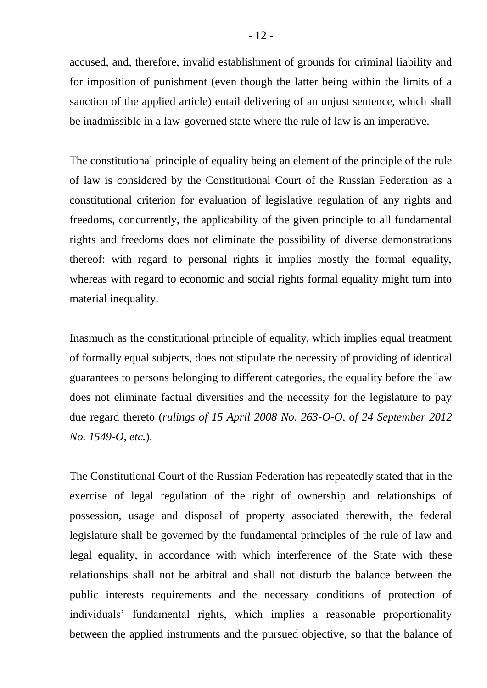accused, and, therefore, invalid establishment of grounds for criminal liability and for imposition of punishment (even though the latter being within the limits of a sanction of the applied article) entail delivering of an unjust sentence, which shall be inadmissible in a law-governed state where the rule of law is an imperative.

The constitutional principle of equality being an element of the principle of the rule of law is considered by the Constitutional Court of the Russian Federation as a constitutional criterion for evaluation of legislative regulation of any rights and freedoms, concurrently, the applicability of the given principle to all fundamental rights and freedoms does not eliminate the possibility of diverse demonstrations thereof: with regard to personal rights it implies mostly the formal equality, whereas with regard to economic and social rights formal equality might turn into material inequality.

Inasmuch as the constitutional principle of equality, which implies equal treatment of formally equal subjects, does not stipulate the necessity of providing of identical guarantees to persons belonging to different categories, the equality before the law does not eliminate factual diversities and the necessity for the legislature to pay due regard thereto (*rulings of 15 April 2008 No. 263-O-O, of 24 September 2012 No. 1549-O, etc.*).

The Constitutional Court of the Russian Federation has repeatedly stated that in the exercise of legal regulation of the right of ownership and relationships of possession, usage and disposal of property associated therewith, the federal legislature shall be governed by the fundamental principles of the rule of law and legal equality, in accordance with which interference of the State with these relationships shall not be arbitral and shall not disturb the balance between the public interests requirements and the necessary conditions of protection of individuals' fundamental rights, which implies a reasonable proportionality between the applied instruments and the pursued objective, so that the balance of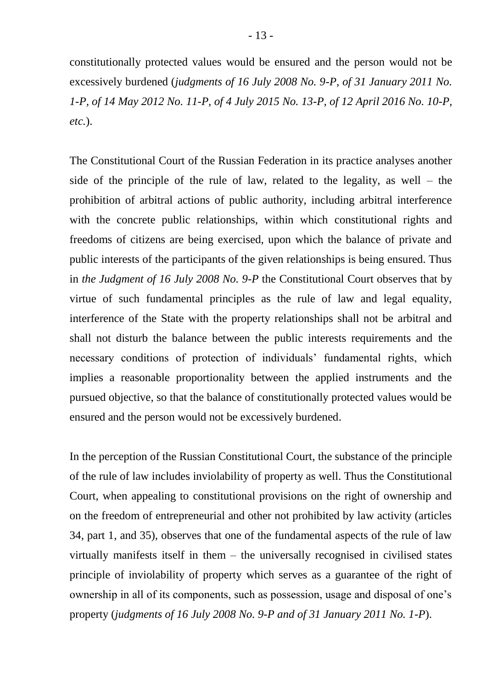constitutionally protected values would be ensured and the person would not be excessively burdened (*judgments of 16 July 2008 No. 9-P, of 31 January 2011 No. 1-P, of 14 May 2012 No. 11-P, of 4 July 2015 No. 13-P, of 12 April 2016 No. 10-P, etc.*).

The Constitutional Court of the Russian Federation in its practice analyses another side of the principle of the rule of law, related to the legality, as well – the prohibition of arbitral actions of public authority, including arbitral interference with the concrete public relationships, within which constitutional rights and freedoms of citizens are being exercised, upon which the balance of private and public interests of the participants of the given relationships is being ensured. Thus in *the Judgment of 16 July 2008 No. 9-P* the Constitutional Court observes that by virtue of such fundamental principles as the rule of law and legal equality, interference of the State with the property relationships shall not be arbitral and shall not disturb the balance between the public interests requirements and the necessary conditions of protection of individuals' fundamental rights, which implies a reasonable proportionality between the applied instruments and the pursued objective, so that the balance of constitutionally protected values would be ensured and the person would not be excessively burdened.

In the perception of the Russian Constitutional Court, the substance of the principle of the rule of law includes inviolability of property as well. Thus the Constitutional Court, when appealing to constitutional provisions on the right of ownership and on the freedom of entrepreneurial and other not prohibited by law activity (articles 34, part 1, and 35), observes that one of the fundamental aspects of the rule of law virtually manifests itself in them – the universally recognised in civilised states principle of inviolability of property which serves as a guarantee of the right of ownership in all of its components, such as possession, usage and disposal of one's property (*judgments of 16 July 2008 No. 9-P and of 31 January 2011 No. 1-P*).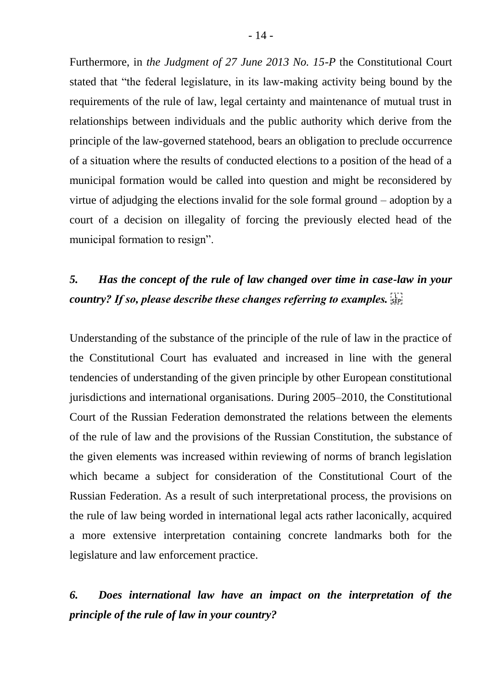Furthermore, in *the Judgment of 27 June 2013 No. 15-P* the Constitutional Court stated that "the federal legislature, in its law-making activity being bound by the requirements of the rule of law, legal certainty and maintenance of mutual trust in relationships between individuals and the public authority which derive from the principle of the law-governed statehood, bears an obligation to preclude occurrence of a situation where the results of conducted elections to a position of the head of a municipal formation would be called into question and might be reconsidered by virtue of adjudging the elections invalid for the sole formal ground – adoption by a court of a decision on illegality of forcing the previously elected head of the municipal formation to resign".

# *5. Has the concept of the rule of law changed over time in case-law in your country? If so, please describe these changes referring to examples.*

Understanding of the substance of the principle of the rule of law in the practice of the Constitutional Court has evaluated and increased in line with the general tendencies of understanding of the given principle by other European constitutional jurisdictions and international organisations. During 2005–2010, the Constitutional Court of the Russian Federation demonstrated the relations between the elements of the rule of law and the provisions of the Russian Constitution, the substance of the given elements was increased within reviewing of norms of branch legislation which became a subject for consideration of the Constitutional Court of the Russian Federation. As a result of such interpretational process, the provisions on the rule of law being worded in international legal acts rather laconically, acquired a more extensive interpretation containing concrete landmarks both for the legislature and law enforcement practice.

# *6. Does international law have an impact on the interpretation of the principle of the rule of law in your country?*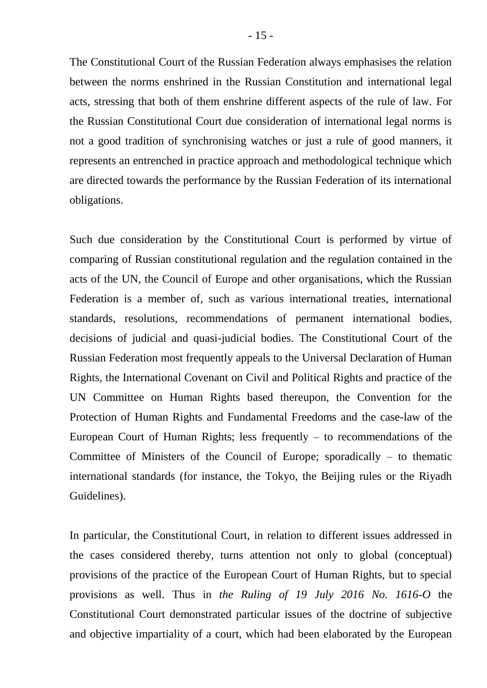The Constitutional Court of the Russian Federation always emphasises the relation between the norms enshrined in the Russian Constitution and international legal acts, stressing that both of them enshrine different aspects of the rule of law. For the Russian Constitutional Court due consideration of international legal norms is not a good tradition of synchronising watches or just a rule of good manners, it represents an entrenched in practice approach and methodological technique which are directed towards the performance by the Russian Federation of its international obligations.

Such due consideration by the Constitutional Court is performed by virtue of comparing of Russian constitutional regulation and the regulation contained in the acts of the UN, the Council of Europe and other organisations, which the Russian Federation is a member of, such as various international treaties, international standards, resolutions, recommendations of permanent international bodies, decisions of judicial and quasi-judicial bodies. The Constitutional Court of the Russian Federation most frequently appeals to the Universal Declaration of Human Rights, the International Covenant on Civil and Political Rights and practice of the UN Committee on Human Rights based thereupon, the Convention for the Protection of Human Rights and Fundamental Freedoms and the case-law of the European Court of Human Rights; less frequently  $-$  to recommendations of the Committee of Ministers of the Council of Europe; sporadically  $-$  to thematic international standards (for instance, the Tokyo, the Beijing rules or the Riyadh Guidelines).

In particular, the Constitutional Court, in relation to different issues addressed in the cases considered thereby, turns attention not only to global (conceptual) provisions of the practice of the European Court of Human Rights, but to special provisions as well. Thus in *the Ruling of 19 July 2016 No. 1616-O* the Constitutional Court demonstrated particular issues of the doctrine of subjective and objective impartiality of a court, which had been elaborated by the European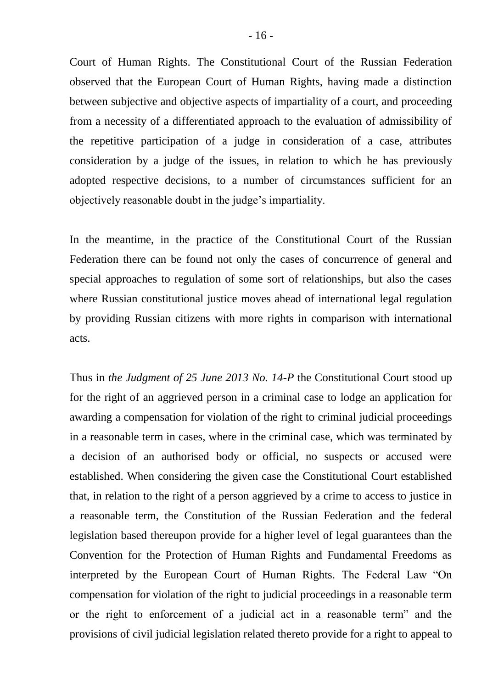Court of Human Rights. The Constitutional Court of the Russian Federation observed that the European Court of Human Rights, having made a distinction between subjective and objective aspects of impartiality of a court, and proceeding from a necessity of a differentiated approach to the evaluation of admissibility of the repetitive participation of a judge in consideration of a case, attributes consideration by a judge of the issues, in relation to which he has previously adopted respective decisions, to a number of circumstances sufficient for an objectively reasonable doubt in the judge's impartiality.

In the meantime, in the practice of the Constitutional Court of the Russian Federation there can be found not only the cases of concurrence of general and special approaches to regulation of some sort of relationships, but also the cases where Russian constitutional justice moves ahead of international legal regulation by providing Russian citizens with more rights in comparison with international acts.

Thus in *the Judgment of 25 June 2013 No. 14-P* the Constitutional Court stood up for the right of an aggrieved person in a criminal case to lodge an application for awarding a compensation for violation of the right to criminal judicial proceedings in a reasonable term in cases, where in the criminal case, which was terminated by a decision of an authorised body or official, no suspects or accused were established. When considering the given case the Constitutional Court established that, in relation to the right of a person aggrieved by a crime to access to justice in a reasonable term, the Constitution of the Russian Federation and the federal legislation based thereupon provide for a higher level of legal guarantees than the Convention for the Protection of Human Rights and Fundamental Freedoms as interpreted by the European Court of Human Rights. The Federal Law "On compensation for violation of the right to judicial proceedings in a reasonable term or the right to enforcement of a judicial act in a reasonable term" and the provisions of civil judicial legislation related thereto provide for a right to appeal to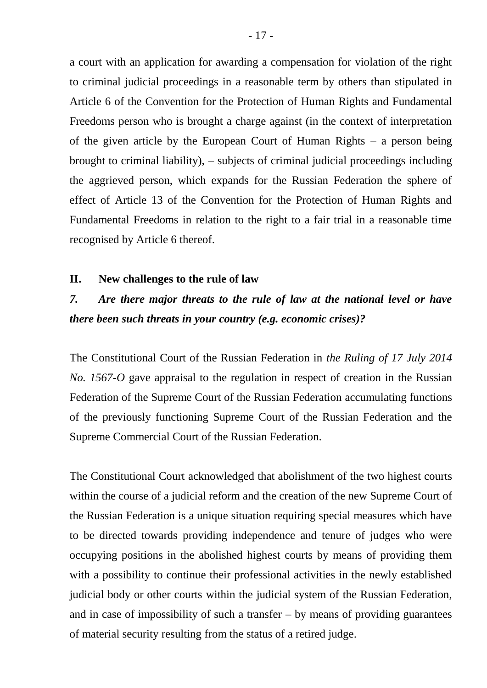a court with an application for awarding a compensation for violation of the right to criminal judicial proceedings in a reasonable term by others than stipulated in Article 6 of the Convention for the Protection of Human Rights and Fundamental Freedoms person who is brought a charge against (in the context of interpretation of the given article by the European Court of Human Rights – a person being brought to criminal liability), – subjects of criminal judicial proceedings including the aggrieved person, which expands for the Russian Federation the sphere of effect of Article 13 of the Convention for the Protection of Human Rights and Fundamental Freedoms in relation to the right to a fair trial in a reasonable time recognised by Article 6 thereof.

#### **II. New challenges to the rule of law**

### *7. Are there major threats to the rule of law at the national level or have there been such threats in your country (e.g. economic crises)?*

The Constitutional Court of the Russian Federation in *the Ruling of 17 July 2014 No. 1567-O* gave appraisal to the regulation in respect of creation in the Russian Federation of the Supreme Court of the Russian Federation accumulating functions of the previously functioning Supreme Court of the Russian Federation and the Supreme Commercial Court of the Russian Federation.

The Constitutional Court acknowledged that abolishment of the two highest courts within the course of a judicial reform and the creation of the new Supreme Court of the Russian Federation is a unique situation requiring special measures which have to be directed towards providing independence and tenure of judges who were occupying positions in the abolished highest courts by means of providing them with a possibility to continue their professional activities in the newly established judicial body or other courts within the judicial system of the Russian Federation, and in case of impossibility of such a transfer  $-$  by means of providing guarantees of material security resulting from the status of a retired judge.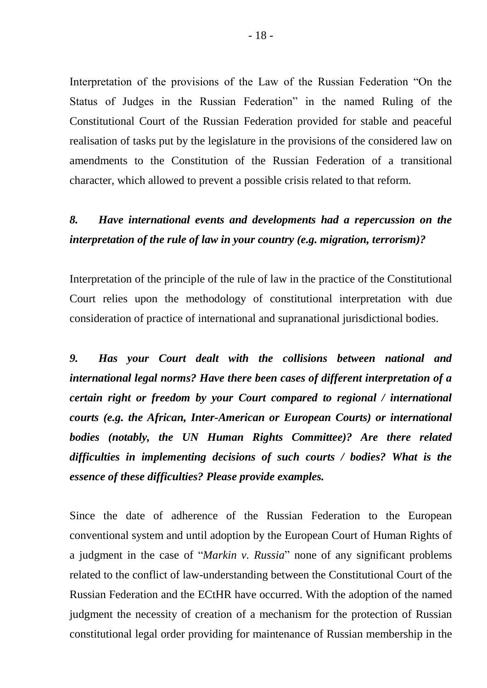Interpretation of the provisions of the Law of the Russian Federation "On the Status of Judges in the Russian Federation" in the named Ruling of the Constitutional Court of the Russian Federation provided for stable and peaceful realisation of tasks put by the legislature in the provisions of the considered law on amendments to the Constitution of the Russian Federation of a transitional character, which allowed to prevent a possible crisis related to that reform.

# *8. Have international events and developments had a repercussion on the interpretation of the rule of law in your country (e.g. migration, terrorism)?*

Interpretation of the principle of the rule of law in the practice of the Constitutional Court relies upon the methodology of constitutional interpretation with due consideration of practice of international and supranational jurisdictional bodies.

*9. Has your Court dealt with the collisions between national and international legal norms? Have there been cases of different interpretation of a certain right or freedom by your Court compared to regional / international courts (e.g. the African, Inter-American or European Courts) or international bodies (notably, the UN Human Rights Committee)? Are there related difficulties in implementing decisions of such courts / bodies? What is the essence of these difficulties? Please provide examples.*

Since the date of adherence of the Russian Federation to the European conventional system and until adoption by the European Court of Human Rights of a judgment in the case of "*Markin v. Russia*" none of any significant problems related to the conflict of law-understanding between the Constitutional Court of the Russian Federation and the ECtHR have occurred. With the adoption of the named judgment the necessity of creation of a mechanism for the protection of Russian constitutional legal order providing for maintenance of Russian membership in the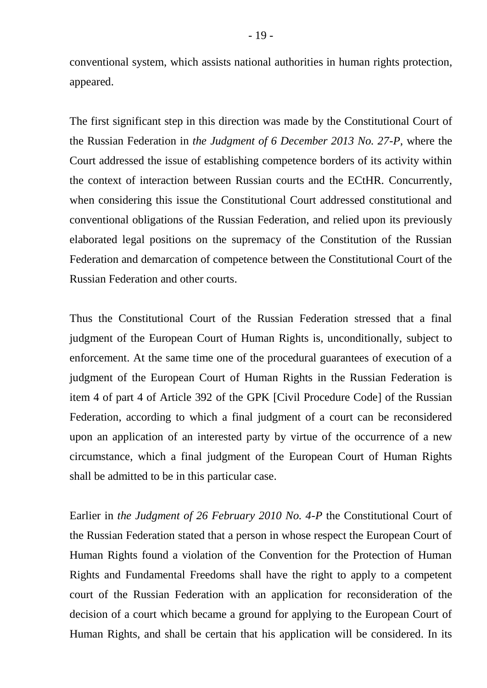conventional system, which assists national authorities in human rights protection, appeared.

The first significant step in this direction was made by the Constitutional Court of the Russian Federation in *the Judgment of 6 December 2013 No. 27-P*, where the Court addressed the issue of establishing competence borders of its activity within the context of interaction between Russian courts and the ECtHR. Concurrently, when considering this issue the Constitutional Court addressed constitutional and conventional obligations of the Russian Federation, and relied upon its previously elaborated legal positions on the supremacy of the Constitution of the Russian Federation and demarcation of competence between the Constitutional Court of the Russian Federation and other courts.

Thus the Constitutional Court of the Russian Federation stressed that a final judgment of the European Court of Human Rights is, unconditionally, subject to enforcement. At the same time one of the procedural guarantees of execution of a judgment of the European Court of Human Rights in the Russian Federation is item 4 of part 4 of Article 392 of the GPK [Civil Procedure Code] of the Russian Federation, according to which a final judgment of a court can be reconsidered upon an application of an interested party by virtue of the occurrence of a new circumstance, which a final judgment of the European Court of Human Rights shall be admitted to be in this particular case.

Earlier in *the Judgment of 26 February 2010 No. 4-P* the Constitutional Court of the Russian Federation stated that a person in whose respect the European Court of Human Rights found a violation of the Convention for the Protection of Human Rights and Fundamental Freedoms shall have the right to apply to a competent court of the Russian Federation with an application for reconsideration of the decision of a court which became a ground for applying to the European Court of Human Rights, and shall be certain that his application will be considered. In its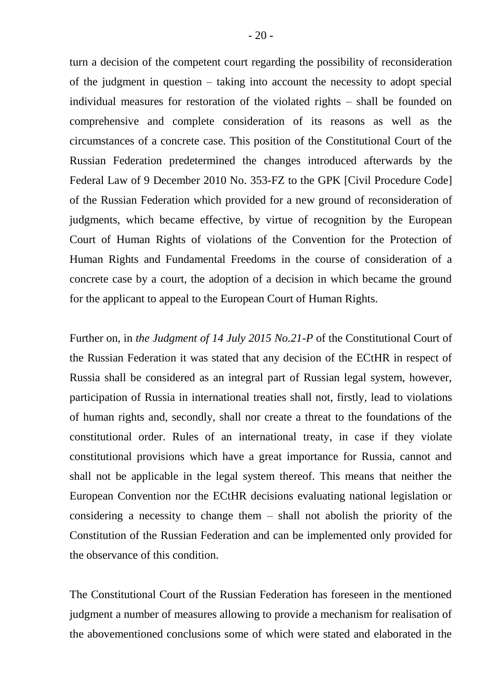turn a decision of the competent court regarding the possibility of reconsideration of the judgment in question – taking into account the necessity to adopt special individual measures for restoration of the violated rights – shall be founded on comprehensive and complete consideration of its reasons as well as the circumstances of a concrete case. This position of the Constitutional Court of the Russian Federation predetermined the changes introduced afterwards by the Federal Law of 9 December 2010 No. 353-FZ to the GPK [Civil Procedure Code] of the Russian Federation which provided for a new ground of reconsideration of judgments, which became effective, by virtue of recognition by the European Court of Human Rights of violations of the Convention for the Protection of Human Rights and Fundamental Freedoms in the course of consideration of a concrete case by a court, the adoption of a decision in which became the ground for the applicant to appeal to the European Court of Human Rights.

Further on, in *the Judgment of 14 July 2015 No.21-P* of the Constitutional Court of the Russian Federation it was stated that any decision of the ECtHR in respect of Russia shall be considered as an integral part of Russian legal system, however, participation of Russia in international treaties shall not, firstly, lead to violations of human rights and, secondly, shall nor create a threat to the foundations of the constitutional order. Rules of an international treaty, in case if they violate constitutional provisions which have a great importance for Russia, cannot and shall not be applicable in the legal system thereof. This means that neither the European Convention nor the ECtHR decisions evaluating national legislation or considering a necessity to change them – shall not abolish the priority of the Constitution of the Russian Federation and can be implemented only provided for the observance of this condition.

The Constitutional Court of the Russian Federation has foreseen in the mentioned judgment a number of measures allowing to provide a mechanism for realisation of the abovementioned conclusions some of which were stated and elaborated in the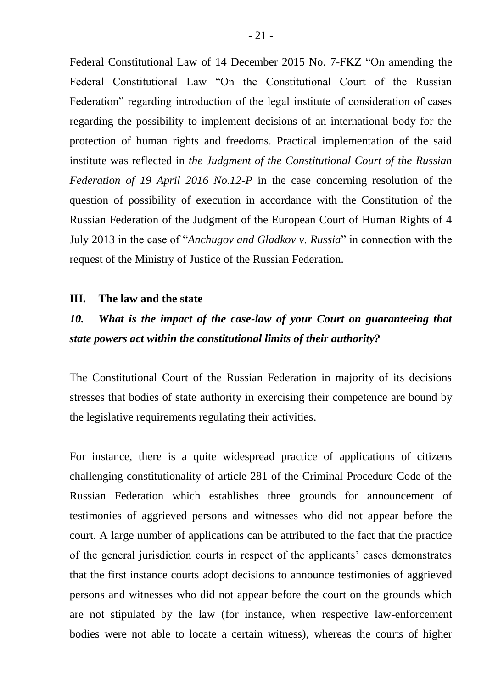Federal Constitutional Law of 14 December 2015 No. 7-FKZ "On amending the Federal Constitutional Law "On the Constitutional Court of the Russian Federation" regarding introduction of the legal institute of consideration of cases regarding the possibility to implement decisions of an international body for the protection of human rights and freedoms. Practical implementation of the said institute was reflected in *the Judgment of the Constitutional Court of the Russian Federation of 19 April 2016 No.12-P* in the case concerning resolution of the question of possibility of execution in accordance with the Constitution of the Russian Federation of the Judgment of the European Court of Human Rights of 4 July 2013 in the case of "*Anchugov and Gladkov v. Russia*" in connection with the request of the Ministry of Justice of the Russian Federation.

#### **III. The law and the state**

## *10. What is the impact of the case-law of your Court on guaranteeing that state powers act within the constitutional limits of their authority?*

The Constitutional Court of the Russian Federation in majority of its decisions stresses that bodies of state authority in exercising their competence are bound by the legislative requirements regulating their activities.

For instance, there is a quite widespread practice of applications of citizens challenging constitutionality of article 281 of the Criminal Procedure Code of the Russian Federation which establishes three grounds for announcement of testimonies of aggrieved persons and witnesses who did not appear before the court. A large number of applications can be attributed to the fact that the practice of the general jurisdiction courts in respect of the applicants' cases demonstrates that the first instance courts adopt decisions to announce testimonies of aggrieved persons and witnesses who did not appear before the court on the grounds which are not stipulated by the law (for instance, when respective law-enforcement bodies were not able to locate a certain witness), whereas the courts of higher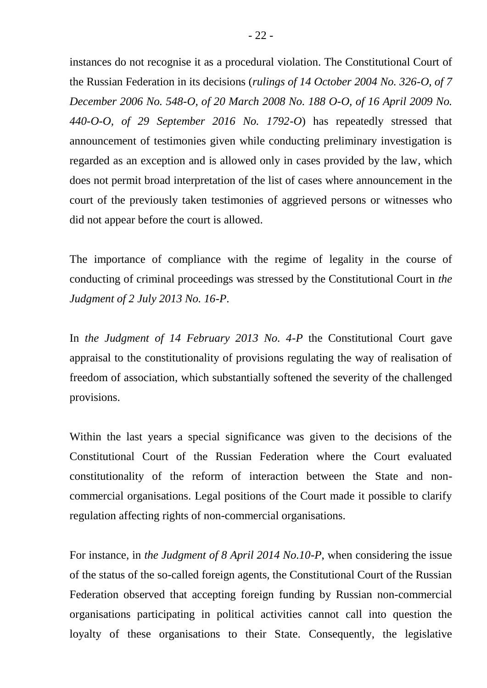instances do not recognise it as a procedural violation. The Constitutional Court of the Russian Federation in its decisions (*rulings of 14 October 2004 No. 326-O, of 7 December 2006 No. 548-O, of 20 March 2008 No. 188 O-O, of 16 April 2009 No. 440-O-O, of 29 September 2016 No. 1792-O*) has repeatedly stressed that announcement of testimonies given while conducting preliminary investigation is regarded as an exception and is allowed only in cases provided by the law, which does not permit broad interpretation of the list of cases where announcement in the court of the previously taken testimonies of aggrieved persons or witnesses who did not appear before the court is allowed.

The importance of compliance with the regime of legality in the course of conducting of criminal proceedings was stressed by the Constitutional Court in *the Judgment of 2 July 2013 No. 16-P*.

In *the Judgment of 14 February 2013 No. 4-P* the Constitutional Court gave appraisal to the constitutionality of provisions regulating the way of realisation of freedom of association, which substantially softened the severity of the challenged provisions.

Within the last years a special significance was given to the decisions of the Constitutional Court of the Russian Federation where the Court evaluated constitutionality of the reform of interaction between the State and noncommercial organisations. Legal positions of the Court made it possible to clarify regulation affecting rights of non-commercial organisations.

For instance, in *the Judgment of 8 April 2014 No.10-P*, when considering the issue of the status of the so-called foreign agents, the Constitutional Court of the Russian Federation observed that accepting foreign funding by Russian non-commercial organisations participating in political activities cannot call into question the loyalty of these organisations to their State. Consequently, the legislative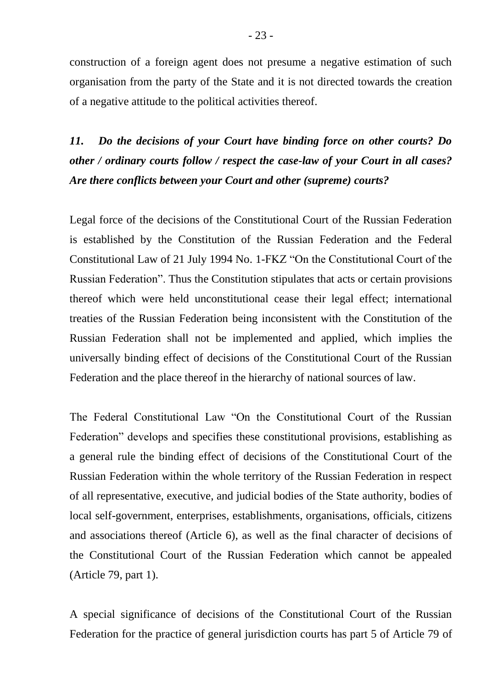construction of a foreign agent does not presume a negative estimation of such organisation from the party of the State and it is not directed towards the creation of a negative attitude to the political activities thereof.

*11. Do the decisions of your Court have binding force on other courts? Do other / ordinary courts follow / respect the case-law of your Court in all cases? Are there conflicts between your Court and other (supreme) courts?*

Legal force of the decisions of the Constitutional Court of the Russian Federation is established by the Constitution of the Russian Federation and the Federal Constitutional Law of 21 July 1994 No. 1-FKZ "On the Constitutional Court of the Russian Federation". Thus the Constitution stipulates that acts or certain provisions thereof which were held unconstitutional cease their legal effect; international treaties of the Russian Federation being inconsistent with the Constitution of the Russian Federation shall not be implemented and applied, which implies the universally binding effect of decisions of the Constitutional Court of the Russian Federation and the place thereof in the hierarchy of national sources of law.

The Federal Constitutional Law "On the Constitutional Court of the Russian Federation" develops and specifies these constitutional provisions, establishing as a general rule the binding effect of decisions of the Constitutional Court of the Russian Federation within the whole territory of the Russian Federation in respect of all representative, executive, and judicial bodies of the State authority, bodies of local self-government, enterprises, establishments, organisations, officials, citizens and associations thereof (Article 6), as well as the final character of decisions of the Constitutional Court of the Russian Federation which cannot be appealed (Article 79, part 1).

A special significance of decisions of the Constitutional Court of the Russian Federation for the practice of general jurisdiction courts has part 5 of Article 79 of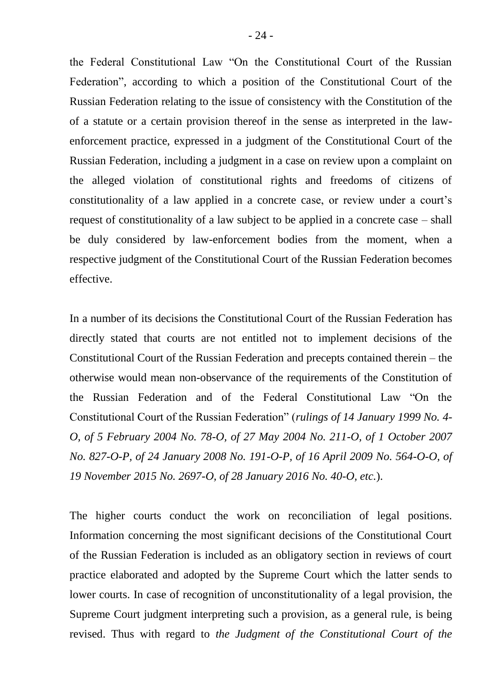the Federal Constitutional Law "On the Constitutional Court of the Russian Federation", according to which a position of the Constitutional Court of the Russian Federation relating to the issue of consistency with the Constitution of the of a statute or a certain provision thereof in the sense as interpreted in the lawenforcement practice, expressed in a judgment of the Constitutional Court of the Russian Federation, including a judgment in a case on review upon a complaint on the alleged violation of constitutional rights and freedoms of citizens of constitutionality of a law applied in a concrete case, or review under a court's request of constitutionality of a law subject to be applied in a concrete case – shall be duly considered by law-enforcement bodies from the moment, when a respective judgment of the Constitutional Court of the Russian Federation becomes effective.

In a number of its decisions the Constitutional Court of the Russian Federation has directly stated that courts are not entitled not to implement decisions of the Constitutional Court of the Russian Federation and precepts contained therein – the otherwise would mean non-observance of the requirements of the Constitution of the Russian Federation and of the Federal Constitutional Law "On the Constitutional Court of the Russian Federation" (*rulings of 14 January 1999 No. 4- O, of 5 February 2004 No. 78-O, of 27 May 2004 No. 211-O, of 1 October 2007 No. 827-O-P, of 24 January 2008 No. 191-O-P, of 16 April 2009 No. 564-O-O, of 19 November 2015 No. 2697-O, of 28 January 2016 No. 40-O, etc.*).

The higher courts conduct the work on reconciliation of legal positions. Information concerning the most significant decisions of the Constitutional Court of the Russian Federation is included as an obligatory section in reviews of court practice elaborated and adopted by the Supreme Court which the latter sends to lower courts. In case of recognition of unconstitutionality of a legal provision, the Supreme Court judgment interpreting such a provision, as a general rule, is being revised. Thus with regard to *the Judgment of the Constitutional Court of the*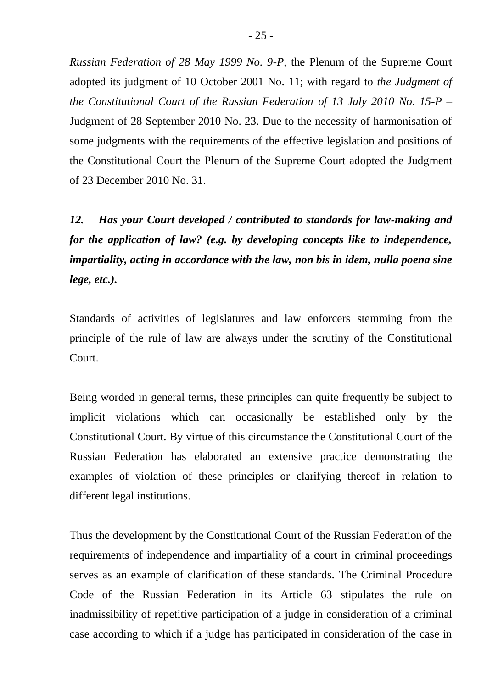*Russian Federation of 28 May 1999 No. 9-P*, the Plenum of the Supreme Court adopted its judgment of 10 October 2001 No. 11; with regard to *the Judgment of the Constitutional Court of the Russian Federation of 13 July 2010 No. 15-P* – Judgment of 28 September 2010 No. 23. Due to the necessity of harmonisation of some judgments with the requirements of the effective legislation and positions of the Constitutional Court the Plenum of the Supreme Court adopted the Judgment of 23 December 2010 No. 31.

*12. Has your Court developed / contributed to standards for law-making and for the application of law? (e.g. by developing concepts like to independence, impartiality, acting in accordance with the law, non bis in idem, nulla poena sine lege, etc.).* 

Standards of activities of legislatures and law enforcers stemming from the principle of the rule of law are always under the scrutiny of the Constitutional Court.

Being worded in general terms, these principles can quite frequently be subject to implicit violations which can occasionally be established only by the Constitutional Court. By virtue of this circumstance the Constitutional Court of the Russian Federation has elaborated an extensive practice demonstrating the examples of violation of these principles or clarifying thereof in relation to different legal institutions.

Thus the development by the Constitutional Court of the Russian Federation of the requirements of independence and impartiality of a court in criminal proceedings serves as an example of clarification of these standards. The Criminal Procedure Code of the Russian Federation in its Article 63 stipulates the rule on inadmissibility of repetitive participation of a judge in consideration of a criminal case according to which if a judge has participated in consideration of the case in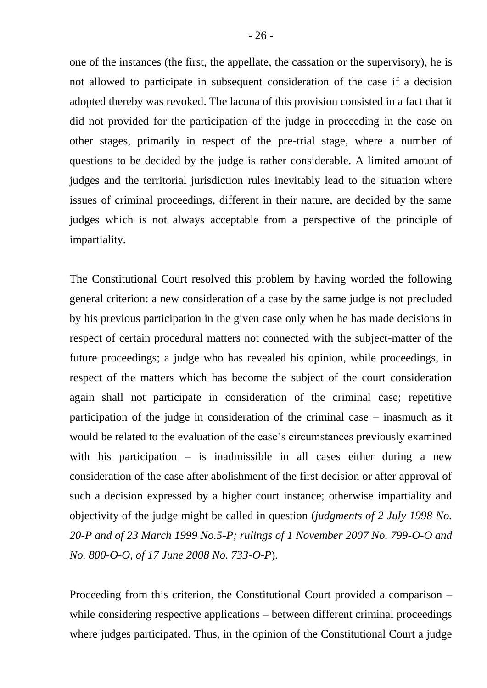one of the instances (the first, the appellate, the cassation or the supervisory), he is not allowed to participate in subsequent consideration of the case if a decision adopted thereby was revoked. The lacuna of this provision consisted in a fact that it did not provided for the participation of the judge in proceeding in the case on other stages, primarily in respect of the pre-trial stage, where a number of questions to be decided by the judge is rather considerable. A limited amount of judges and the territorial jurisdiction rules inevitably lead to the situation where issues of criminal proceedings, different in their nature, are decided by the same judges which is not always acceptable from a perspective of the principle of impartiality.

The Constitutional Court resolved this problem by having worded the following general criterion: a new consideration of a case by the same judge is not precluded by his previous participation in the given case only when he has made decisions in respect of certain procedural matters not connected with the subject-matter of the future proceedings; a judge who has revealed his opinion, while proceedings, in respect of the matters which has become the subject of the court consideration again shall not participate in consideration of the criminal case; repetitive participation of the judge in consideration of the criminal case – inasmuch as it would be related to the evaluation of the case's circumstances previously examined with his participation – is inadmissible in all cases either during a new consideration of the case after abolishment of the first decision or after approval of such a decision expressed by a higher court instance; otherwise impartiality and objectivity of the judge might be called in question (*judgments of 2 July 1998 No. 20-P and of 23 March 1999 No.5-P; rulings of 1 November 2007 No. 799-O-O and No. 800-O-O, of 17 June 2008 No. 733-O-P*).

Proceeding from this criterion, the Constitutional Court provided a comparison – while considering respective applications – between different criminal proceedings where judges participated. Thus, in the opinion of the Constitutional Court a judge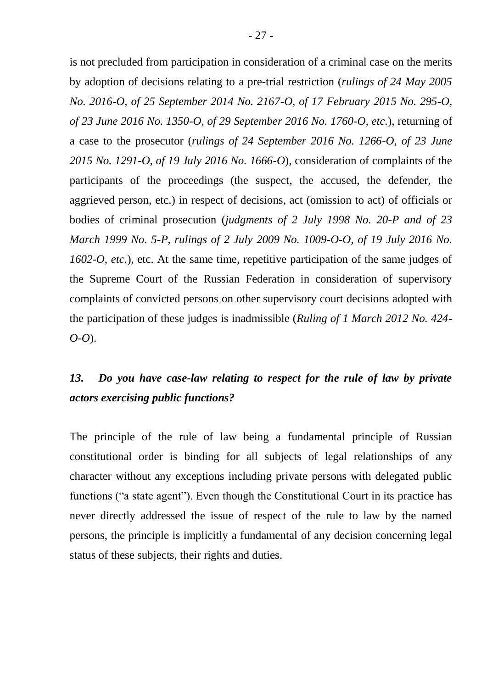is not precluded from participation in consideration of a criminal case on the merits by adoption of decisions relating to a pre-trial restriction (*rulings of 24 May 2005 No. 2016-O, of 25 September 2014 No. 2167-O, of 17 February 2015 No. 295-O, of 23 June 2016 No. 1350-O, of 29 September 2016 No. 1760-O, etc.*), returning of a case to the prosecutor (*rulings of 24 September 2016 No. 1266-O, of 23 June 2015 No. 1291-O, of 19 July 2016 No. 1666-O*), consideration of complaints of the participants of the proceedings (the suspect, the accused, the defender, the aggrieved person, etc.) in respect of decisions, act (omission to act) of officials or bodies of criminal prosecution (*judgments of 2 July 1998 No. 20-P and of 23 March 1999 No. 5-P, rulings of 2 July 2009 No. 1009-O-O, of 19 July 2016 No. 1602-O, etc.*), etc. At the same time, repetitive participation of the same judges of the Supreme Court of the Russian Federation in consideration of supervisory complaints of convicted persons on other supervisory court decisions adopted with the participation of these judges is inadmissible (*Ruling of 1 March 2012 No. 424- O-O*).

## *13. Do you have case-law relating to respect for the rule of law by private actors exercising public functions?*

The principle of the rule of law being a fundamental principle of Russian constitutional order is binding for all subjects of legal relationships of any character without any exceptions including private persons with delegated public functions ("a state agent"). Even though the Constitutional Court in its practice has never directly addressed the issue of respect of the rule to law by the named persons, the principle is implicitly a fundamental of any decision concerning legal status of these subjects, their rights and duties.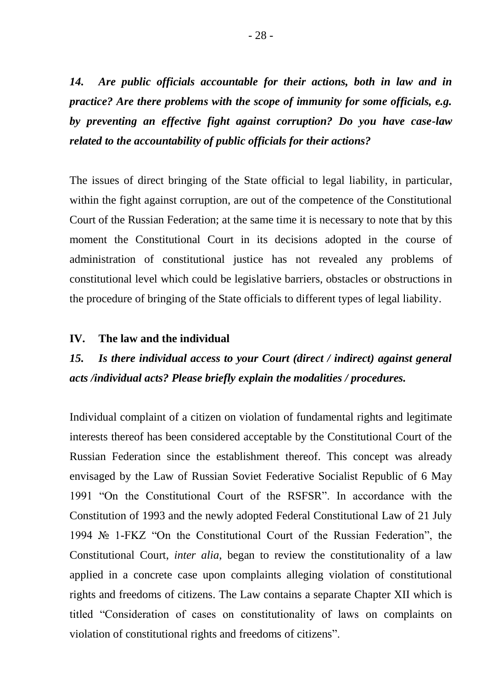*14. Are public officials accountable for their actions, both in law and in practice? Are there problems with the scope of immunity for some officials, e.g. by preventing an effective fight against corruption? Do you have case-law related to the accountability of public officials for their actions?* 

The issues of direct bringing of the State official to legal liability, in particular, within the fight against corruption, are out of the competence of the Constitutional Court of the Russian Federation; at the same time it is necessary to note that by this moment the Constitutional Court in its decisions adopted in the course of administration of constitutional justice has not revealed any problems of constitutional level which could be legislative barriers, obstacles or obstructions in the procedure of bringing of the State officials to different types of legal liability.

#### **IV. The law and the individual**

## *15. Is there individual access to your Court (direct / indirect) against general acts /individual acts? Please briefly explain the modalities / procedures.*

Individual complaint of a citizen on violation of fundamental rights and legitimate interests thereof has been considered acceptable by the Constitutional Court of the Russian Federation since the establishment thereof. This concept was already envisaged by the Law of Russian Soviet Federative Socialist Republic of 6 May 1991 "On the Constitutional Court of the RSFSR". In accordance with the Constitution of 1993 and the newly adopted Federal Constitutional Law of 21 July 1994 № 1-FKZ "On the Constitutional Court of the Russian Federation", the Constitutional Court, *inter alia*, began to review the constitutionality of a law applied in a concrete case upon complaints alleging violation of constitutional rights and freedoms of citizens. The Law contains a separate Chapter XII which is titled "Consideration of cases on constitutionality of laws on complaints on violation of constitutional rights and freedoms of citizens".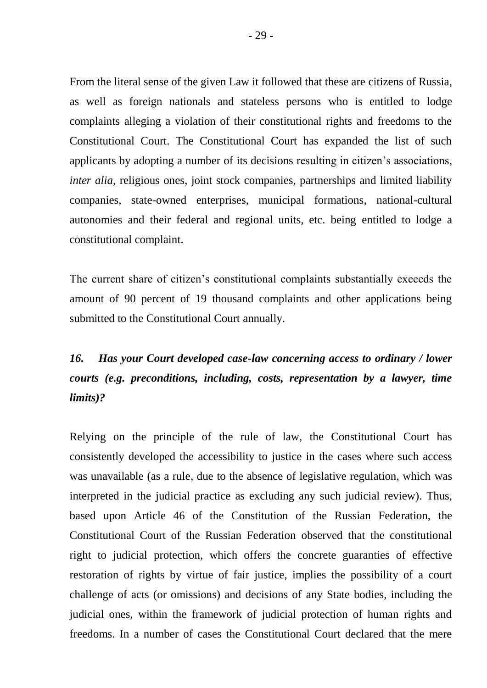From the literal sense of the given Law it followed that these are citizens of Russia, as well as foreign nationals and stateless persons who is entitled to lodge complaints alleging a violation of their constitutional rights and freedoms to the Constitutional Court. The Constitutional Court has expanded the list of such applicants by adopting a number of its decisions resulting in citizen's associations, *inter alia*, religious ones, joint stock companies, partnerships and limited liability companies, state-owned enterprises, municipal formations, national-cultural autonomies and their federal and regional units, etc. being entitled to lodge a constitutional complaint.

The current share of citizen's constitutional complaints substantially exceeds the amount of 90 percent of 19 thousand complaints and other applications being submitted to the Constitutional Court annually.

# *16. Has your Court developed case-law concerning access to ordinary / lower courts (e.g. preconditions, including, costs, representation by a lawyer, time limits)?*

Relying on the principle of the rule of law, the Constitutional Court has consistently developed the accessibility to justice in the cases where such access was unavailable (as a rule, due to the absence of legislative regulation, which was interpreted in the judicial practice as excluding any such judicial review). Thus, based upon Article 46 of the Constitution of the Russian Federation, the Constitutional Court of the Russian Federation observed that the constitutional right to judicial protection, which offers the concrete guaranties of effective restoration of rights by virtue of fair justice, implies the possibility of a court challenge of acts (or omissions) and decisions of any State bodies, including the judicial ones, within the framework of judicial protection of human rights and freedoms. In a number of cases the Constitutional Court declared that the mere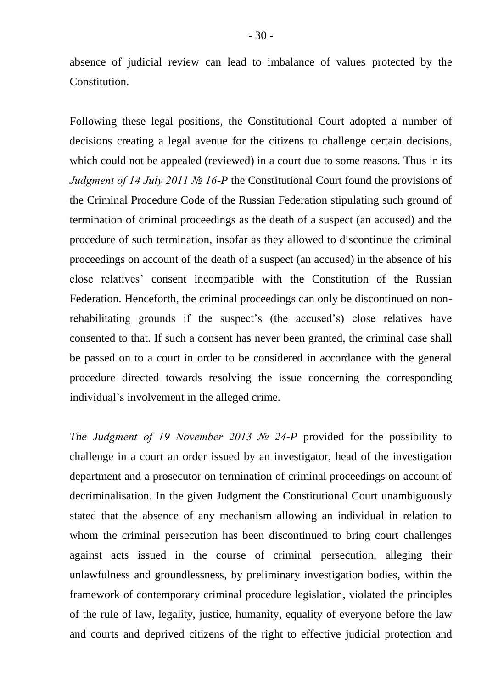absence of judicial review can lead to imbalance of values protected by the Constitution.

Following these legal positions, the Constitutional Court adopted a number of decisions creating a legal avenue for the citizens to challenge certain decisions, which could not be appealed (reviewed) in a court due to some reasons. Thus in its *Judgment of 14 July 2011 № 16-P* the Constitutional Court found the provisions of the Criminal Procedure Code of the Russian Federation stipulating such ground of termination of criminal proceedings as the death of a suspect (an accused) and the procedure of such termination, insofar as they allowed to discontinue the criminal proceedings on account of the death of a suspect (an accused) in the absence of his close relatives' consent incompatible with the Constitution of the Russian Federation. Henceforth, the criminal proceedings can only be discontinued on nonrehabilitating grounds if the suspect's (the accused's) close relatives have consented to that. If such a consent has never been granted, the criminal case shall be passed on to a court in order to be considered in accordance with the general procedure directed towards resolving the issue concerning the corresponding individual's involvement in the alleged crime.

*The Judgment of 19 November 2013 № 24-P* provided for the possibility to challenge in a court an order issued by an investigator, head of the investigation department and a prosecutor on termination of criminal proceedings on account of decriminalisation. In the given Judgment the Constitutional Court unambiguously stated that the absence of any mechanism allowing an individual in relation to whom the criminal persecution has been discontinued to bring court challenges against acts issued in the course of criminal persecution, alleging their unlawfulness and groundlessness, by preliminary investigation bodies, within the framework of contemporary criminal procedure legislation, violated the principles of the rule of law, legality, justice, humanity, equality of everyone before the law and courts and deprived citizens of the right to effective judicial protection and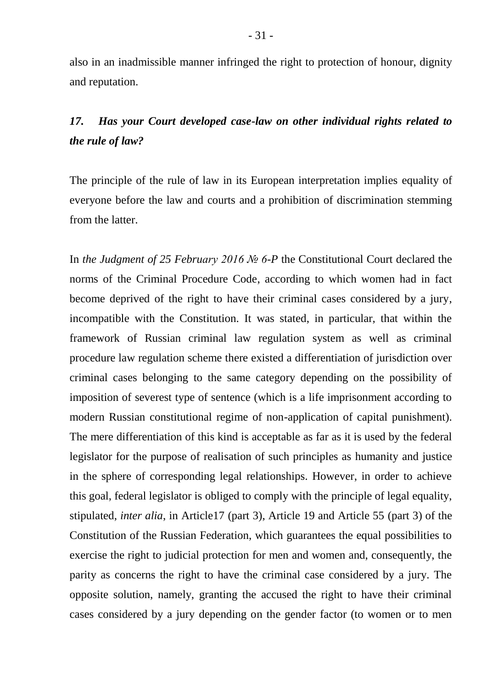also in an inadmissible manner infringed the right to protection of honour, dignity and reputation.

## *17. Has your Court developed case-law on other individual rights related to the rule of law?*

The principle of the rule of law in its European interpretation implies equality of everyone before the law and courts and a prohibition of discrimination stemming from the latter.

In *the Judgment of 25 February 2016 № 6-P* the Constitutional Court declared the norms of the Criminal Procedure Code, according to which women had in fact become deprived of the right to have their criminal cases considered by a jury, incompatible with the Constitution. It was stated, in particular, that within the framework of Russian criminal law regulation system as well as criminal procedure law regulation scheme there existed a differentiation of jurisdiction over criminal cases belonging to the same category depending on the possibility of imposition of severest type of sentence (which is a life imprisonment according to modern Russian constitutional regime of non-application of capital punishment). The mere differentiation of this kind is acceptable as far as it is used by the federal legislator for the purpose of realisation of such principles as humanity and justice in the sphere of corresponding legal relationships. However, in order to achieve this goal, federal legislator is obliged to comply with the principle of legal equality, stipulated, *inter alia*, in Article17 (part 3), Article 19 and Article 55 (part 3) of the Constitution of the Russian Federation, which guarantees the equal possibilities to exercise the right to judicial protection for men and women and, consequently, the parity as concerns the right to have the criminal case considered by a jury. The opposite solution, namely, granting the accused the right to have their criminal cases considered by a jury depending on the gender factor (to women or to men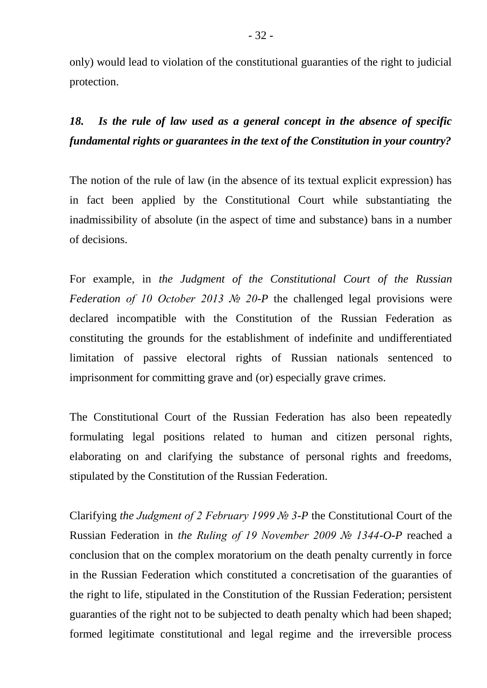only) would lead to violation of the constitutional guaranties of the right to judicial protection.

*18. Is the rule of law used as a general concept in the absence of specific fundamental rights or guarantees in the text of the Constitution in your country?*

The notion of the rule of law (in the absence of its textual explicit expression) has in fact been applied by the Constitutional Court while substantiating the inadmissibility of absolute (in the aspect of time and substance) bans in a number of decisions.

For example, in *the Judgment of the Constitutional Court of the Russian Federation of 10 October 2013 № 20-P* the challenged legal provisions were declared incompatible with the Constitution of the Russian Federation as constituting the grounds for the establishment of indefinite and undifferentiated limitation of passive electoral rights of Russian nationals sentenced to imprisonment for committing grave and (or) especially grave crimes.

The Constitutional Court of the Russian Federation has also been repeatedly formulating legal positions related to human and citizen personal rights, elaborating on and clarifying the substance of personal rights and freedoms, stipulated by the Constitution of the Russian Federation.

Clarifying *the Judgment of 2 February 1999 № 3-P* the Constitutional Court of the Russian Federation in *the Ruling of 19 November 2009 № 1344-O-P* reached a conclusion that on the complex moratorium on the death penalty currently in force in the Russian Federation which constituted a concretisation of the guaranties of the right to life, stipulated in the Constitution of the Russian Federation; persistent guaranties of the right not to be subjected to death penalty which had been shaped; formed legitimate constitutional and legal regime and the irreversible process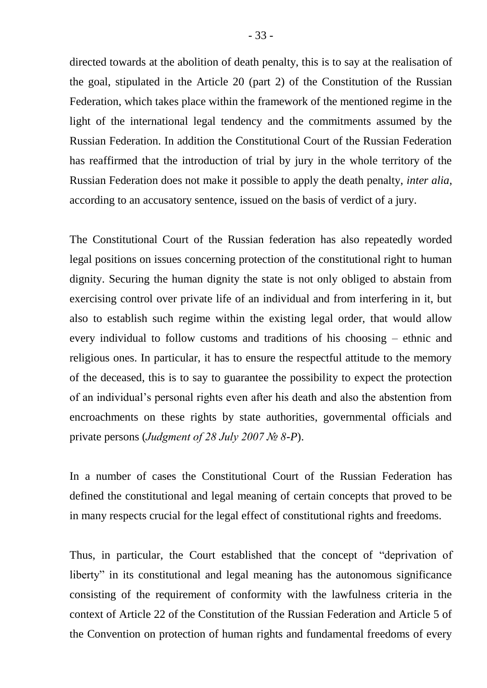directed towards at the abolition of death penalty, this is to say at the realisation of the goal, stipulated in the Article 20 (part 2) of the Constitution of the Russian Federation, which takes place within the framework of the mentioned regime in the light of the international legal tendency and the commitments assumed by the Russian Federation. In addition the Constitutional Court of the Russian Federation has reaffirmed that the introduction of trial by jury in the whole territory of the Russian Federation does not make it possible to apply the death penalty, *inter alia*, according to an accusatory sentence, issued on the basis of verdict of a jury.

The Constitutional Court of the Russian federation has also repeatedly worded legal positions on issues concerning protection of the constitutional right to human dignity. Securing the human dignity the state is not only obliged to abstain from exercising control over private life of an individual and from interfering in it, but also to establish such regime within the existing legal order, that would allow every individual to follow customs and traditions of his choosing – ethnic and religious ones. In particular, it has to ensure the respectful attitude to the memory of the deceased, this is to say to guarantee the possibility to expect the protection of an individual's personal rights even after his death and also the abstention from encroachments on these rights by state authorities, governmental officials and private persons (*Judgment of 28 July 2007 № 8-P*).

In a number of cases the Constitutional Court of the Russian Federation has defined the constitutional and legal meaning of certain concepts that proved to be in many respects crucial for the legal effect of constitutional rights and freedoms.

Thus, in particular, the Court established that the concept of "deprivation of liberty" in its constitutional and legal meaning has the autonomous significance consisting of the requirement of conformity with the lawfulness criteria in the context of Article 22 of the Constitution of the Russian Federation and Article 5 of the Convention on protection of human rights and fundamental freedoms of every